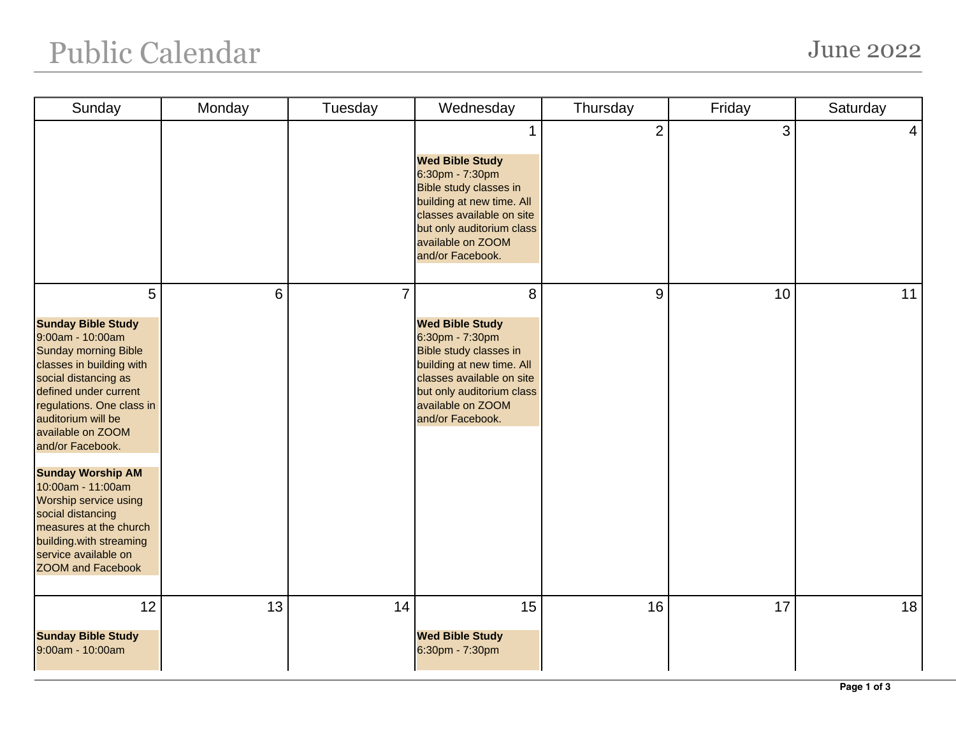## Public Calendar June 2022

| Sunday                                                                                                                                                                                                                                                                                                                                                                                                                                                             | Monday | Tuesday        | Wednesday                                                                                                                                                                                                | Thursday       | Friday | Saturday |
|--------------------------------------------------------------------------------------------------------------------------------------------------------------------------------------------------------------------------------------------------------------------------------------------------------------------------------------------------------------------------------------------------------------------------------------------------------------------|--------|----------------|----------------------------------------------------------------------------------------------------------------------------------------------------------------------------------------------------------|----------------|--------|----------|
|                                                                                                                                                                                                                                                                                                                                                                                                                                                                    |        |                | <b>Wed Bible Study</b><br>6:30pm - 7:30pm<br>Bible study classes in<br>building at new time. All<br>classes available on site<br>but only auditorium class<br>available on ZOOM<br>and/or Facebook.      | $\overline{2}$ | 3      | 4        |
| 5<br><b>Sunday Bible Study</b><br>9:00am - 10:00am<br><b>Sunday morning Bible</b><br>classes in building with<br>social distancing as<br>defined under current<br>regulations. One class in<br>auditorium will be<br>available on ZOOM<br>and/or Facebook.<br><b>Sunday Worship AM</b><br>10:00am - 11:00am<br>Worship service using<br>social distancing<br>measures at the church<br>building.with streaming<br>service available on<br><b>ZOOM and Facebook</b> | 6      | $\overline{7}$ | 8<br><b>Wed Bible Study</b><br>6:30pm - 7:30pm<br>Bible study classes in<br>building at new time. All<br>classes available on site<br>but only auditorium class<br>available on ZOOM<br>and/or Facebook. | 9              | 10     | 11       |
| 12<br><b>Sunday Bible Study</b><br>9:00am - 10:00am                                                                                                                                                                                                                                                                                                                                                                                                                | 13     | 14             | 15<br><b>Wed Bible Study</b><br>6:30pm - 7:30pm                                                                                                                                                          | 16             | 17     | 18       |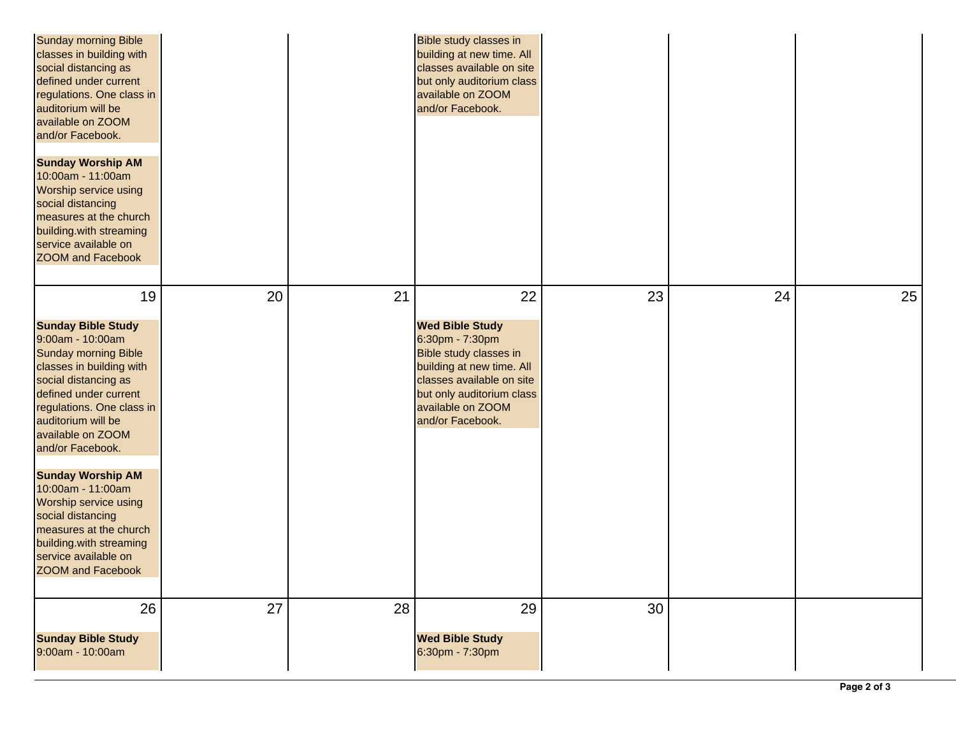| <b>Sunday morning Bible</b><br>classes in building with<br>social distancing as<br>defined under current<br>regulations. One class in<br>auditorium will be<br>available on ZOOM<br>and/or Facebook.<br><b>Sunday Worship AM</b><br>10:00am - 11:00am<br>Worship service using<br>social distancing<br>measures at the church<br>building.with streaming<br>service available on<br><b>ZOOM and Facebook</b>                                                        |    |    | Bible study classes in<br>building at new time. All<br>classes available on site<br>but only auditorium class<br>available on ZOOM<br>and/or Facebook.                                                    |    |    |    |
|---------------------------------------------------------------------------------------------------------------------------------------------------------------------------------------------------------------------------------------------------------------------------------------------------------------------------------------------------------------------------------------------------------------------------------------------------------------------|----|----|-----------------------------------------------------------------------------------------------------------------------------------------------------------------------------------------------------------|----|----|----|
| 19<br><b>Sunday Bible Study</b><br>9:00am - 10:00am<br><b>Sunday morning Bible</b><br>classes in building with<br>social distancing as<br>defined under current<br>regulations. One class in<br>auditorium will be<br>available on ZOOM<br>and/or Facebook.<br><b>Sunday Worship AM</b><br>10:00am - 11:00am<br>Worship service using<br>social distancing<br>measures at the church<br>building.with streaming<br>service available on<br><b>ZOOM and Facebook</b> | 20 | 21 | 22<br><b>Wed Bible Study</b><br>6:30pm - 7:30pm<br>Bible study classes in<br>building at new time. All<br>classes available on site<br>but only auditorium class<br>available on ZOOM<br>and/or Facebook. | 23 | 24 | 25 |
| 26                                                                                                                                                                                                                                                                                                                                                                                                                                                                  | 27 | 28 | 29                                                                                                                                                                                                        | 30 |    |    |
| <b>Sunday Bible Study</b><br>9:00am - 10:00am                                                                                                                                                                                                                                                                                                                                                                                                                       |    |    | <b>Wed Bible Study</b><br>6:30pm - 7:30pm                                                                                                                                                                 |    |    |    |